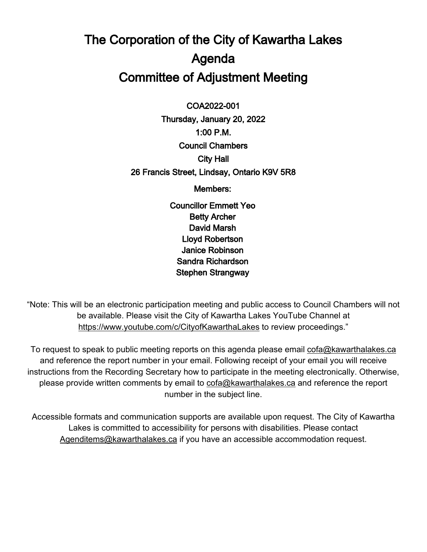# The Corporation of the City of Kawartha Lakes Agenda Committee of Adjustment Meeting

 $\overline{a}$ COA2022-001

Thursday, January 20, 2022 1:00 P.M. Council Chambers City Hall 26 Francis Street, Lindsay, Ontario K9V 5R8

Members:

Councillor Emmett Yeo Betty Archer David Marsh Lloyd Robertson Janice Robinson Sandra Richardson Stephen Strangway

"Note: This will be an electronic participation meeting and public access to Council Chambers will not be available. Please visit the City of Kawartha Lakes YouTube Channel at <https://www.youtube.com/c/CityofKawarthaLakes> to review proceedings."

To request to speak to public meeting reports on this agenda please email [cofa@kawarthalakes.ca](mailto:cofa@kawarthalakes.ca) and reference the report number in your email. Following receipt of your email you will receive instructions from the Recording Secretary how to participate in the meeting electronically. Otherwise, please provide written comments by email to [cofa@kawarthalakes.ca](mailto:cofa@kawarthalakes.ca) and reference the report number in the subject line.

Accessible formats and communication supports are available upon request. The City of Kawartha Lakes is committed to accessibility for persons with disabilities. Please contact [Agenditems@kawarthalakes.ca](mailto:Agenditems@kawarthalakes.ca) if you have an accessible accommodation request.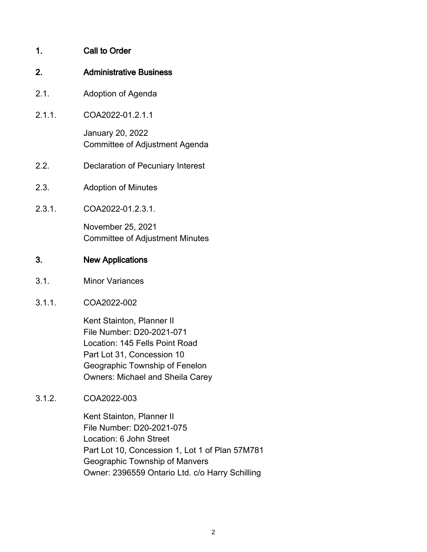# 1. Call to Order

#### 2. Administrative Business

- 2.1. Adoption of Agenda
- 2.1.1. COA2022-01.2.1.1 January 20, 2022

Committee of Adjustment Agenda

- 2.2. Declaration of Pecuniary Interest
- 2.3. Adoption of Minutes
- 2.3.1. COA2022-01.2.3.1.

November 25, 2021 Committee of Adjustment Minutes

### 3. New Applications

- 3.1. Minor Variances
- 3.1.1. COA2022-002

Kent Stainton, Planner II File Number: D20-2021-071 Location: 145 Fells Point Road Part Lot 31, Concession 10 Geographic Township of Fenelon Owners: Michael and Sheila Carey

3.1.2. COA2022-003

Kent Stainton, Planner II File Number: D20-2021-075 Location: 6 John Street Part Lot 10, Concession 1, Lot 1 of Plan 57M781 Geographic Township of Manvers Owner: 2396559 Ontario Ltd. c/o Harry Schilling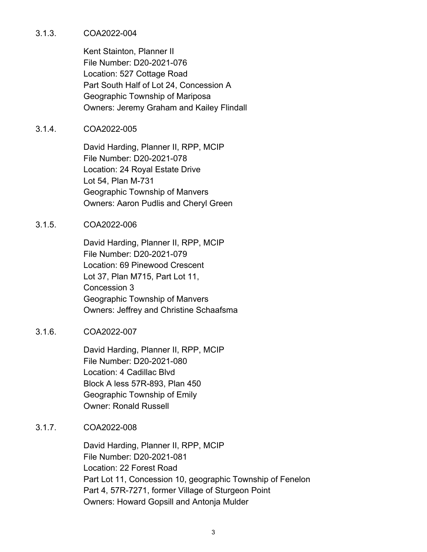#### 3.1.3. COA2022-004

Kent Stainton, Planner II File Number: D20-2021-076 Location: 527 Cottage Road Part South Half of Lot 24, Concession A Geographic Township of Mariposa Owners: Jeremy Graham and Kailey Flindall

#### 3.1.4. COA2022-005

David Harding, Planner II, RPP, MCIP File Number: D20-2021-078 Location: 24 Royal Estate Drive Lot 54, Plan M-731 Geographic Township of Manvers Owners: Aaron Pudlis and Cheryl Green

#### 3.1.5. COA2022-006

David Harding, Planner II, RPP, MCIP File Number: D20-2021-079 Location: 69 Pinewood Crescent Lot 37, Plan M715, Part Lot 11, Concession 3 Geographic Township of Manvers Owners: Jeffrey and Christine Schaafsma

## 3.1.6. COA2022-007

David Harding, Planner II, RPP, MCIP File Number: D20-2021-080 Location: 4 Cadillac Blvd Block A less 57R-893, Plan 450 Geographic Township of Emily Owner: Ronald Russell

## 3.1.7. COA2022-008

David Harding, Planner II, RPP, MCIP File Number: D20-2021-081 Location: 22 Forest Road Part Lot 11, Concession 10, geographic Township of Fenelon Part 4, 57R-7271, former Village of Sturgeon Point Owners: Howard Gopsill and Antonja Mulder